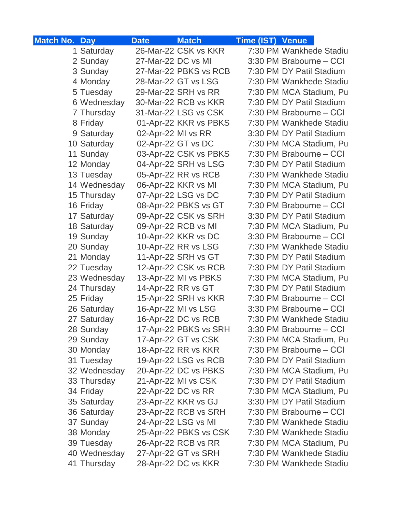| <b>Match No. Day</b> |              | <b>Date</b>        | <b>Match</b>          | <b>Time (IST) Venue</b> |                          |
|----------------------|--------------|--------------------|-----------------------|-------------------------|--------------------------|
|                      | 1 Saturday   |                    | 26-Mar-22 CSK vs KKR  |                         | 7:30 PM Wankhede Stadiu  |
|                      | 2 Sunday     | 27-Mar-22 DC vs MI |                       |                         | 3:30 PM Brabourne - CCI  |
|                      | 3 Sunday     |                    | 27-Mar-22 PBKS vs RCB |                         | 7:30 PM DY Patil Stadium |
|                      | 4 Monday     |                    | 28-Mar-22 GT vs LSG   |                         | 7:30 PM Wankhede Stadiu  |
|                      | 5 Tuesday    |                    | 29-Mar-22 SRH vs RR   |                         | 7:30 PM MCA Stadium, Pu  |
|                      | 6 Wednesday  |                    | 30-Mar-22 RCB vs KKR  |                         | 7:30 PM DY Patil Stadium |
|                      | 7 Thursday   |                    | 31-Mar-22 LSG vs CSK  |                         | 7:30 PM Brabourne – CCI  |
|                      | 8 Friday     |                    | 01-Apr-22 KKR vs PBKS |                         | 7:30 PM Wankhede Stadiu  |
|                      | 9 Saturday   | 02-Apr-22 MI vs RR |                       |                         | 3:30 PM DY Patil Stadium |
|                      | 10 Saturday  |                    | 02-Apr-22 GT vs DC    |                         | 7:30 PM MCA Stadium, Pu  |
|                      | 11 Sunday    |                    | 03-Apr-22 CSK vs PBKS |                         | 7:30 PM Brabourne - CCI  |
|                      | 12 Monday    |                    | 04-Apr-22 SRH vs LSG  |                         | 7:30 PM DY Patil Stadium |
|                      | 13 Tuesday   |                    | 05-Apr-22 RR vs RCB   |                         | 7:30 PM Wankhede Stadiu  |
|                      | 14 Wednesday |                    | 06-Apr-22 KKR vs MI   |                         | 7:30 PM MCA Stadium, Pu  |
|                      | 15 Thursday  |                    | 07-Apr-22 LSG vs DC   |                         | 7:30 PM DY Patil Stadium |
|                      | 16 Friday    |                    | 08-Apr-22 PBKS vs GT  |                         | 7:30 PM Brabourne - CCI  |
|                      | 17 Saturday  |                    | 09-Apr-22 CSK vs SRH  |                         | 3:30 PM DY Patil Stadium |
|                      | 18 Saturday  |                    | 09-Apr-22 RCB vs MI   |                         | 7:30 PM MCA Stadium, Pu  |
|                      | 19 Sunday    |                    | 10-Apr-22 KKR vs DC   |                         | 3:30 PM Brabourne - CCI  |
|                      | 20 Sunday    |                    | 10-Apr-22 RR vs LSG   |                         | 7:30 PM Wankhede Stadiu  |
|                      | 21 Monday    |                    | 11-Apr-22 SRH vs GT   |                         | 7:30 PM DY Patil Stadium |
|                      | 22 Tuesday   |                    | 12-Apr-22 CSK vs RCB  |                         | 7:30 PM DY Patil Stadium |
|                      | 23 Wednesday |                    | 13-Apr-22 MI vs PBKS  |                         | 7:30 PM MCA Stadium, Pu  |
|                      | 24 Thursday  |                    | 14-Apr-22 RR vs GT    |                         | 7:30 PM DY Patil Stadium |
|                      | 25 Friday    |                    | 15-Apr-22 SRH vs KKR  |                         | 7:30 PM Brabourne - CCI  |
|                      | 26 Saturday  |                    | 16-Apr-22 MI vs LSG   |                         | 3:30 PM Brabourne - CCI  |
|                      | 27 Saturday  |                    | 16-Apr-22 DC vs RCB   |                         | 7:30 PM Wankhede Stadiu  |
|                      | 28 Sunday    |                    | 17-Apr-22 PBKS vs SRH |                         | 3:30 PM Brabourne - CCI  |
|                      | 29 Sunday    |                    | 17-Apr-22 GT vs CSK   |                         | 7:30 PM MCA Stadium, Pu  |
|                      | 30 Monday    |                    | 18-Apr-22 RR vs KKR   |                         | 7:30 PM Brabourne - CCI  |
|                      | 31 Tuesday   |                    | 19-Apr-22 LSG vs RCB  |                         | 7:30 PM DY Patil Stadium |
|                      | 32 Wednesday |                    | 20-Apr-22 DC vs PBKS  |                         | 7:30 PM MCA Stadium, Pu  |
|                      | 33 Thursday  |                    | 21-Apr-22 MI vs CSK   |                         | 7:30 PM DY Patil Stadium |
|                      | 34 Friday    |                    | 22-Apr-22 DC vs RR    |                         | 7:30 PM MCA Stadium, Pu  |
|                      | 35 Saturday  |                    | 23-Apr-22 KKR vs GJ   |                         | 3:30 PM DY Patil Stadium |
|                      | 36 Saturday  |                    | 23-Apr-22 RCB vs SRH  |                         | 7:30 PM Brabourne – CCI  |
|                      | 37 Sunday    |                    | 24-Apr-22 LSG vs MI   |                         | 7:30 PM Wankhede Stadiu  |
|                      | 38 Monday    |                    | 25-Apr-22 PBKS vs CSK |                         | 7:30 PM Wankhede Stadiu  |
|                      | 39 Tuesday   |                    | 26-Apr-22 RCB vs RR   |                         | 7:30 PM MCA Stadium, Pu  |
|                      | 40 Wednesday |                    | 27-Apr-22 GT vs SRH   |                         | 7:30 PM Wankhede Stadiu  |
|                      | 41 Thursday  |                    | 28-Apr-22 DC vs KKR   |                         | 7:30 PM Wankhede Stadiu  |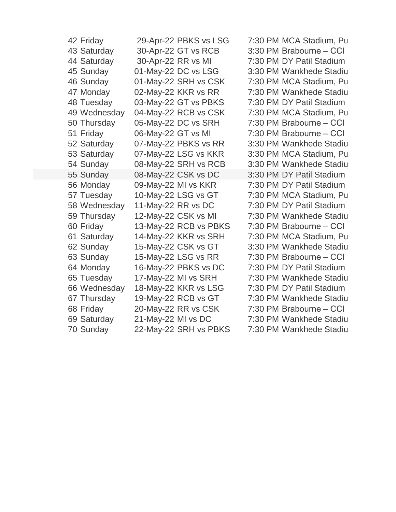| 42 Friday    | 29-Apr-22 PBKS vs LSG | 7:30 PM MCA Stadium, Pu  |
|--------------|-----------------------|--------------------------|
| 43 Saturday  | 30-Apr-22 GT vs RCB   | 3:30 PM Brabourne - CCI  |
| 44 Saturday  | 30-Apr-22 RR vs MI    | 7:30 PM DY Patil Stadium |
| 45 Sunday    | 01-May-22 DC vs LSG   | 3:30 PM Wankhede Stadiu  |
| 46 Sunday    | 01-May-22 SRH vs CSK  | 7:30 PM MCA Stadium, Pu  |
| 47 Monday    | 02-May-22 KKR vs RR   | 7:30 PM Wankhede Stadiu  |
| 48 Tuesday   | 03-May-22 GT vs PBKS  | 7:30 PM DY Patil Stadium |
| 49 Wednesday | 04-May-22 RCB vs CSK  | 7:30 PM MCA Stadium, Pu  |
| 50 Thursday  | 05-May-22 DC vs SRH   | 7:30 PM Brabourne - CCI  |
| 51 Friday    | 06-May-22 GT vs MI    | 7:30 PM Brabourne - CCI  |
| 52 Saturday  | 07-May-22 PBKS vs RR  | 3:30 PM Wankhede Stadiu  |
| 53 Saturday  | 07-May-22 LSG vs KKR  | 3:30 PM MCA Stadium, Pu  |
| 54 Sunday    | 08-May-22 SRH vs RCB  | 3:30 PM Wankhede Stadiu  |
| 55 Sunday    | 08-May-22 CSK vs DC   | 3:30 PM DY Patil Stadium |
| 56 Monday    | 09-May-22 MI vs KKR   | 7:30 PM DY Patil Stadium |
| 57 Tuesday   | 10-May-22 LSG vs GT   | 7:30 PM MCA Stadium, Pu  |
| 58 Wednesday | 11-May-22 RR vs DC    | 7:30 PM DY Patil Stadium |
| 59 Thursday  | 12-May-22 CSK vs MI   | 7:30 PM Wankhede Stadiu  |
| 60 Friday    | 13-May-22 RCB vs PBKS | 7:30 PM Brabourne - CCI  |
| 61 Saturday  | 14-May-22 KKR vs SRH  | 7:30 PM MCA Stadium, Pu  |
| 62 Sunday    | 15-May-22 CSK vs GT   | 3:30 PM Wankhede Stadiu  |
| 63 Sunday    | 15-May-22 LSG vs RR   | 7:30 PM Brabourne - CCI  |
| 64 Monday    | 16-May-22 PBKS vs DC  | 7:30 PM DY Patil Stadium |
| 65 Tuesday   | 17-May-22 MI vs SRH   | 7:30 PM Wankhede Stadiu  |
| 66 Wednesday | 18-May-22 KKR vs LSG  | 7:30 PM DY Patil Stadium |
| 67 Thursday  | 19-May-22 RCB vs GT   | 7:30 PM Wankhede Stadiu  |
| 68 Friday    | 20-May-22 RR vs CSK   | 7:30 PM Brabourne - CCI  |
| 69 Saturday  | 21-May-22 MI vs DC    | 7:30 PM Wankhede Stadiu  |
| 70 Sunday    | 22-May-22 SRH vs PBKS | 7:30 PM Wankhede Stadiu  |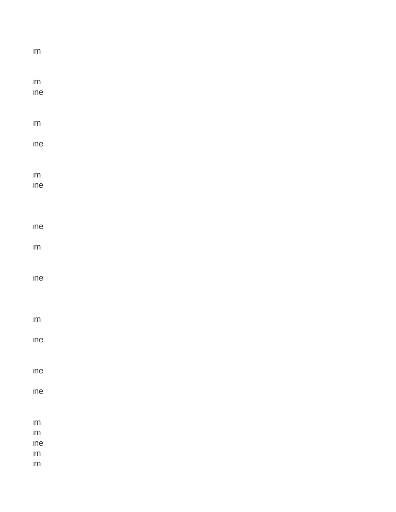| $\sf lm$       |  |
|----------------|--|
|                |  |
|                |  |
| $\text{Im}$    |  |
| ine            |  |
|                |  |
| $\sf lm$       |  |
|                |  |
| ine            |  |
|                |  |
|                |  |
| $\text{Im}$    |  |
| ine            |  |
|                |  |
|                |  |
| ine            |  |
|                |  |
| $\sf lm$       |  |
|                |  |
|                |  |
| ine            |  |
|                |  |
|                |  |
| $\text{Im}$    |  |
|                |  |
| $\mathsf{ine}$ |  |
|                |  |
|                |  |
| ine            |  |
| $\mathsf{ine}$ |  |
|                |  |
|                |  |
| $\sf lm$       |  |
| $\sf lm$       |  |
| $\mathsf{ine}$ |  |
| $\sf IM$       |  |
| $\sf lm$       |  |